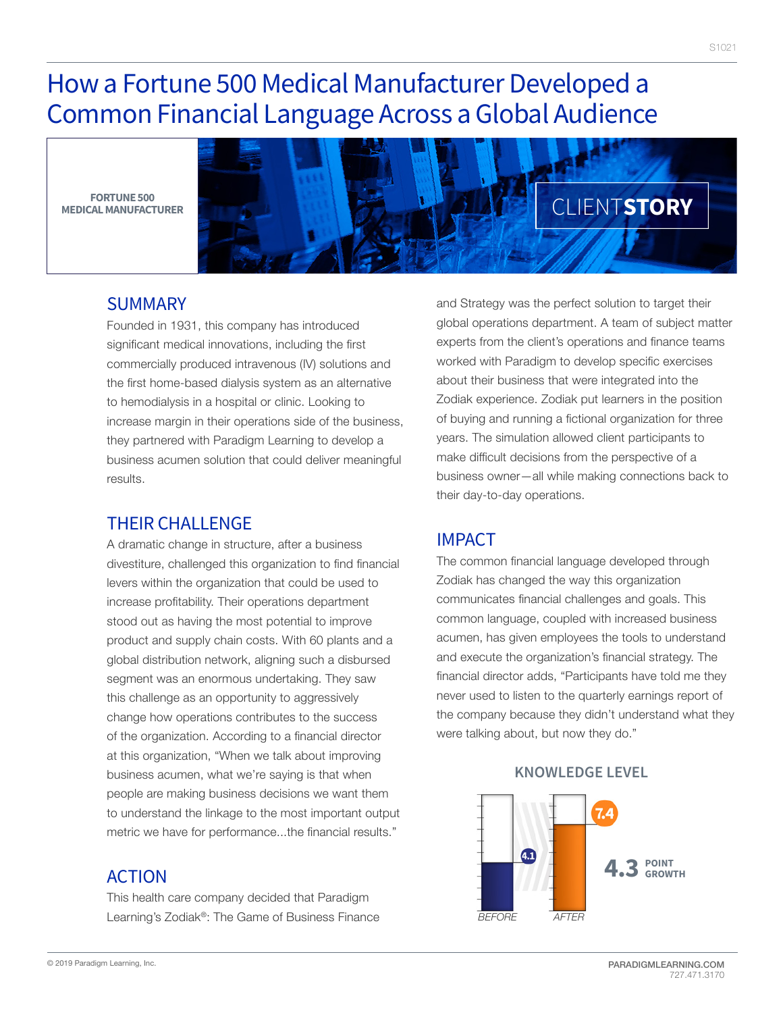# How a Fortune 500 Medical Manufacturer Developed a Common Financial Language Across a Global Audience

**FORTUNE 500 MEDICAL MANUFACTURER**



#### SUMMARY

Founded in 1931, this company has introduced significant medical innovations, including the first commercially produced intravenous (IV) solutions and the first home-based dialysis system as an alternative to hemodialysis in a hospital or clinic. Looking to increase margin in their operations side of the business, they partnered with Paradigm Learning to develop a business acumen solution that could deliver meaningful results.

## THEIR CHALLENGE

A dramatic change in structure, after a business divestiture, challenged this organization to find financial levers within the organization that could be used to increase profitability. Their operations department stood out as having the most potential to improve product and supply chain costs. With 60 plants and a global distribution network, aligning such a disbursed segment was an enormous undertaking. They saw this challenge as an opportunity to aggressively change how operations contributes to the success of the organization. According to a financial director at this organization, "When we talk about improving business acumen, what we're saying is that when people are making business decisions we want them to understand the linkage to the most important output metric we have for performance...the financial results."

## ACTION

This health care company decided that Paradigm Learning's Zodiak®: The Game of Business Finance

and Strategy was the perfect solution to target their global operations department. A team of subject matter experts from the client's operations and finance teams worked with Paradigm to develop specific exercises about their business that were integrated into the Zodiak experience. Zodiak put learners in the position of buying and running a fictional organization for three years. The simulation allowed client participants to make difficult decisions from the perspective of a business owner—all while making connections back to their day-to-day operations.

## IMPACT

The common financial language developed through Zodiak has changed the way this organization communicates financial challenges and goals. This common language, coupled with increased business acumen, has given employees the tools to understand and execute the organization's financial strategy. The financial director adds, "Participants have told me they never used to listen to the quarterly earnings report of the company because they didn't understand what they were talking about, but now they do."

> Œ **4.3POINT GROWTH** *BEFORE AFTER*

#### **KNOWLEDGE LEVEL**